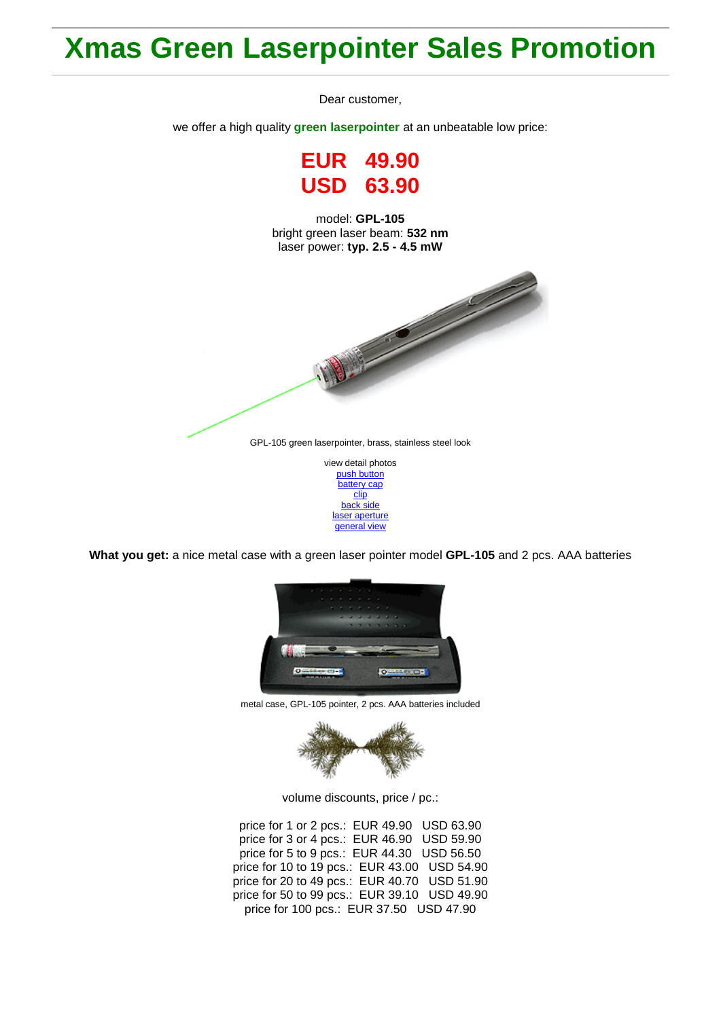## **Xmas Green Laserpointer Sales Promotion**

Dear customer,

we offer a high quality **green laserpointer** at an unbeatable low price:

**EUR 49.90 USD 63.90**

model: **GPL-105** bright green laser beam: **532 nm** laser power: **typ. 2.5 - 4.5 mW**



[push button](http://roithner-laser.com/Hirespix/GPL105/push_button.jpg) [battery cap](http://roithner-laser.com/Hirespix/GPL105/battery_cap.jpg) [clip](http://roithner-laser.com/Hirespix/GPL105/clip.jpg) [back side](http://roithner-laser.com/Hirespix/GPL105/end_cap.jpg) [laser aperture](http://roithner-laser.com/Hirespix/GPL105/emitting_aperture.jpg) [general view](http://roithner-laser.com/Hirespix/GPL105/pointer_105.jpg)

**What you get:** a nice metal case with a green laser pointer model **GPL-105** and 2 pcs. AAA batteries



metal case, GPL-105 pointer, 2 pcs. AAA batteries included



volume discounts, price / pc.:

price for 1 or 2 pcs.: EUR 49.90 USD 63.90 price for 3 or 4 pcs.: EUR 46.90 USD 59.90 price for 5 to 9 pcs.: EUR 44.30 USD 56.50 price for 10 to 19 pcs.: EUR 43.00 USD 54.90 price for 20 to 49 pcs.: EUR 40.70 USD 51.90 price for 50 to 99 pcs.: EUR 39.10 USD 49.90 price for 100 pcs.: EUR 37.50 USD 47.90